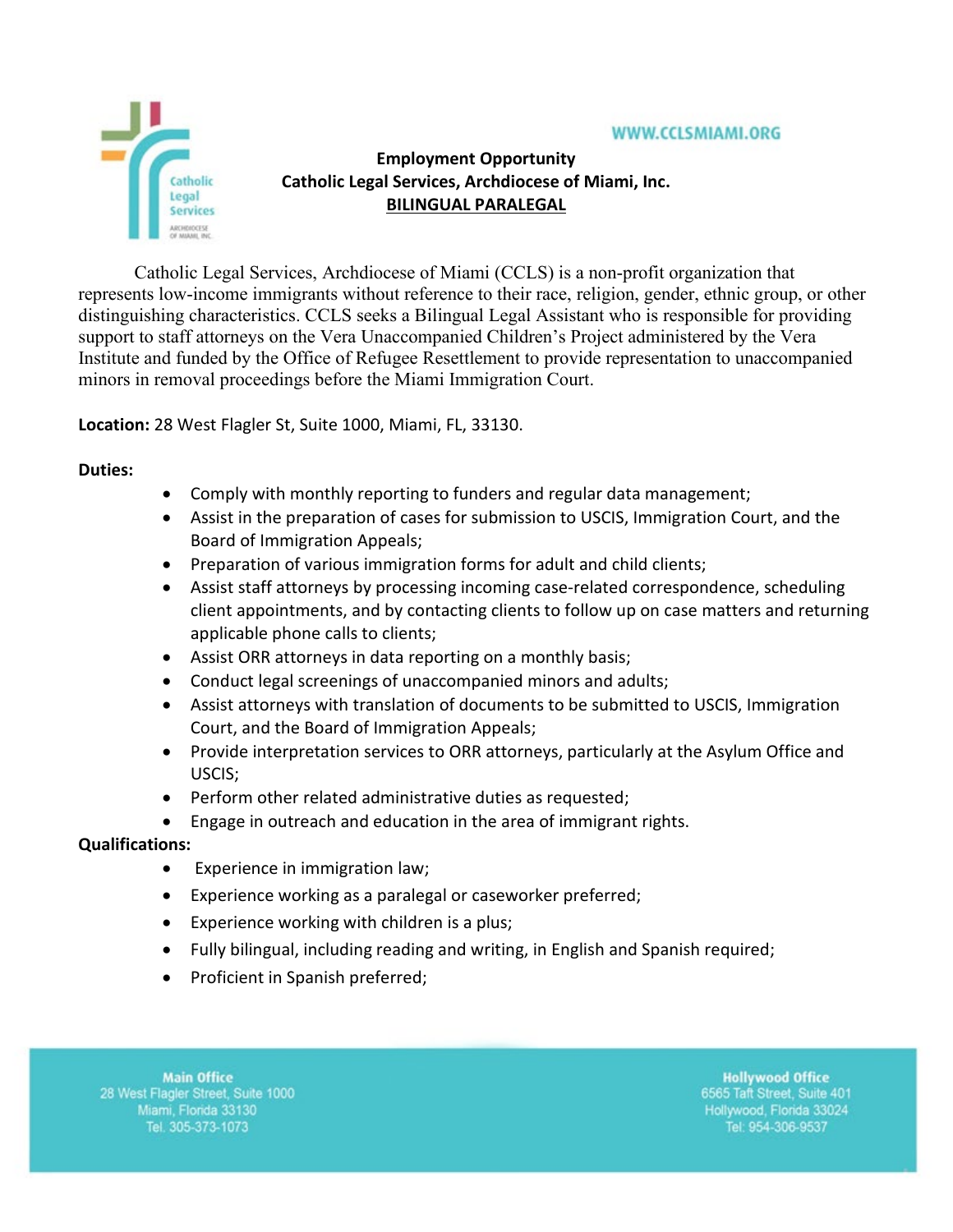

# **Employment Opportunity Catholic Legal Services, Archdiocese of Miami, Inc. BILINGUAL PARALEGAL**

Catholic Legal Services, Archdiocese of Miami (CCLS) is a non-profit organization that represents low-income immigrants without reference to their race, religion, gender, ethnic group, or other distinguishing characteristics. CCLS seeks a Bilingual Legal Assistant who is responsible for providing support to staff attorneys on the Vera Unaccompanied Children's Project administered by the Vera Institute and funded by the Office of Refugee Resettlement to provide representation to unaccompanied minors in removal proceedings before the Miami Immigration Court.

**Location:** 28 West Flagler St, Suite 1000, Miami, FL, 33130.

### **Duties:**

- Comply with monthly reporting to funders and regular data management;
- Assist in the preparation of cases for submission to USCIS, Immigration Court, and the Board of Immigration Appeals;
- Preparation of various immigration forms for adult and child clients;
- Assist staff attorneys by processing incoming case-related correspondence, scheduling client appointments, and by contacting clients to follow up on case matters and returning applicable phone calls to clients;
- Assist ORR attorneys in data reporting on a monthly basis;
- Conduct legal screenings of unaccompanied minors and adults;
- Assist attorneys with translation of documents to be submitted to USCIS, Immigration Court, and the Board of Immigration Appeals;
- Provide interpretation services to ORR attorneys, particularly at the Asylum Office and USCIS;
- Perform other related administrative duties as requested;
- Engage in outreach and education in the area of immigrant rights.

## **Qualifications:**

- Experience in immigration law;
- Experience working as a paralegal or caseworker preferred;
- Experience working with children is a plus;
- Fully bilingual, including reading and writing, in English and Spanish required;
- Proficient in Spanish preferred;

**Main Office** 28 West Flagler Street, Suite 1000 Miami, Florida 33130 Tel. 305-373-1073

**Hollywood Office** 6565 Taft Street, Suite 401 Hollywood, Florida 33024 Tel: 954-306-9537